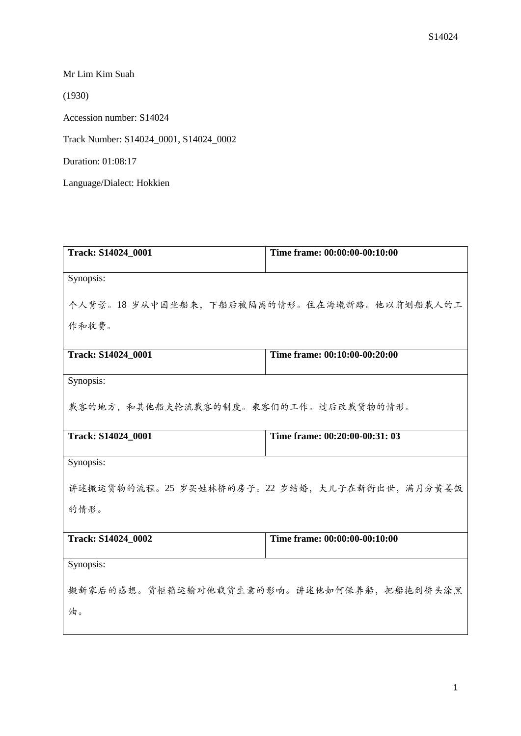Mr Lim Kim Suah

(1930)

Accession number: S14024

Track Number: S14024\_0001, S14024\_0002

Duration: 01:08:17

Language/Dialect: Hokkien

| Track: S14024_0001                       | Time frame: 00:00:00-00:10:00                |
|------------------------------------------|----------------------------------------------|
|                                          |                                              |
| Synopsis:                                |                                              |
|                                          |                                              |
|                                          | 个人背景。18岁从中国坐船来,下船后被隔离的情形。住在海墘新路。他以前划船载人的工    |
|                                          |                                              |
| 作和收费。                                    |                                              |
|                                          |                                              |
| Track: S14024 0001                       | Time frame: 00:10:00-00:20:00                |
|                                          |                                              |
| Synopsis:                                |                                              |
|                                          |                                              |
| 载客的地方,和其他船夫轮流载客的制度。乘客们的工作。过后改载货物的情形。     |                                              |
|                                          |                                              |
| Track: S14024_0001                       | Time frame: 00:20:00-00:31: 03               |
|                                          |                                              |
| Synopsis:                                |                                              |
|                                          |                                              |
|                                          | 讲述搬运货物的流程。25 岁买姓林桥的房子。22 岁结婚,大儿子在新街出世,满月分黄姜饭 |
|                                          |                                              |
| 的情形。                                     |                                              |
|                                          |                                              |
| Track: S14024 0002                       | Time frame: 00:00:00-00:10:00                |
|                                          |                                              |
| Synopsis:                                |                                              |
|                                          |                                              |
| 搬新家后的感想。货柜箱运输对他载货生意的影响。讲述他如何保养船,把船拖到桥头涂黑 |                                              |
|                                          |                                              |
| 油。                                       |                                              |
|                                          |                                              |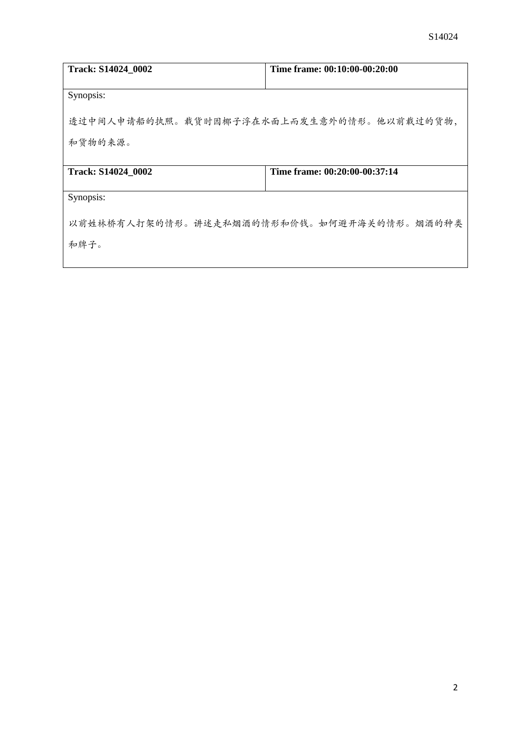| Track: S14024 0002                        | Time frame: 00:10:00-00:20:00 |
|-------------------------------------------|-------------------------------|
|                                           |                               |
| Synopsis:                                 |                               |
| 透过中间人申请船的执照。载货时因椰子浮在水面上而发生意外的情形。他以前载过的货物, |                               |
| 和货物的来源。                                   |                               |
|                                           |                               |
| Track: S14024 0002                        | Time frame: 00:20:00-00:37:14 |
|                                           |                               |
| Synopsis:                                 |                               |
| 以前姓林桥有人打架的情形。讲述走私烟酒的情形和价钱。如何避开海关的情形。烟酒的种类 |                               |
| 和牌子。                                      |                               |
|                                           |                               |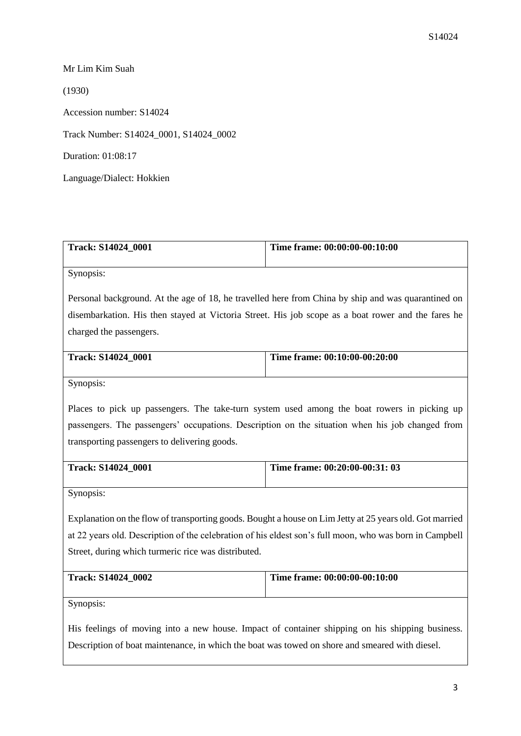Mr Lim Kim Suah (1930) Accession number: S14024 Track Number: S14024\_0001, S14024\_0002 Duration: 01:08:17 Language/Dialect: Hokkien

| <b>Track: S14024 0001</b> | Time frame: $00:00:00-00:10:00$ |
|---------------------------|---------------------------------|
|                           |                                 |

Synopsis:

Personal background. At the age of 18, he travelled here from China by ship and was quarantined on disembarkation. His then stayed at Victoria Street. His job scope as a boat rower and the fares he charged the passengers.

| <b>Track: S14024 0001</b> | Time frame: 00:10:00-00:20:00 |
|---------------------------|-------------------------------|
|                           |                               |

Synopsis:

Places to pick up passengers. The take-turn system used among the boat rowers in picking up passengers. The passengers' occupations. Description on the situation when his job changed from transporting passengers to delivering goods.

| <b>Track: S14024 0001</b> | Time frame: 00:20:00-00:31: 03 |
|---------------------------|--------------------------------|
|                           |                                |

Synopsis:

Explanation on the flow of transporting goods. Bought a house on Lim Jetty at 25 years old. Got married at 22 years old. Description of the celebration of his eldest son's full moon, who was born in Campbell Street, during which turmeric rice was distributed.

| <b>Track: S14024 0002</b> | Time frame: 00:00:00-00:10:00 |
|---------------------------|-------------------------------|
|                           |                               |

Synopsis:

His feelings of moving into a new house. Impact of container shipping on his shipping business. Description of boat maintenance, in which the boat was towed on shore and smeared with diesel.